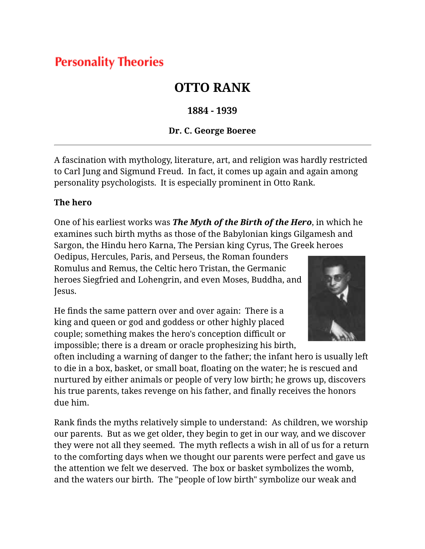# **Personality Theories**

# **OTTO RANK**

#### **1884 - 1939**

#### **Dr. C. George Boeree**

A fascination with mythology, literature, art, and religion was hardly restricted to Carl Jung and Sigmund Freud. In fact, it comes up again and again among personality psychologists. It is especially prominent in Otto Rank.

#### **The hero**

One of his earliest works was *The Myth of the Birth of the Hero*, in which he examines such birth myths as those of the Babylonian kings Gilgamesh and Sargon, the Hindu hero Karna, The Persian king Cyrus, The Greek heroes

Oedipus, Hercules, Paris, and Perseus, the Roman founders Romulus and Remus, the Celtic hero Tristan, the Germanic heroes Siegfried and Lohengrin, and even Moses, Buddha, and Jesus.

He finds the same pattern over and over again: There is a king and queen or god and goddess or other highly placed couple; something makes the hero's conception difficult or impossible; there is a dream or oracle prophesizing his birth,



often including a warning of danger to the father; the infant hero is usually left to die in a box, basket, or small boat, floating on the water; he is rescued and nurtured by either animals or people of very low birth; he grows up, discovers his true parents, takes revenge on his father, and finally receives the honors due him.

Rank finds the myths relatively simple to understand: As children, we worship our parents. But as we get older, they begin to get in our way, and we discover they were not all they seemed. The myth reflects a wish in all of us for a return to the comforting days when we thought our parents were perfect and gave us the attention we felt we deserved. The box or basket symbolizes the womb, and the waters our birth. The "people of low birth" symbolize our weak and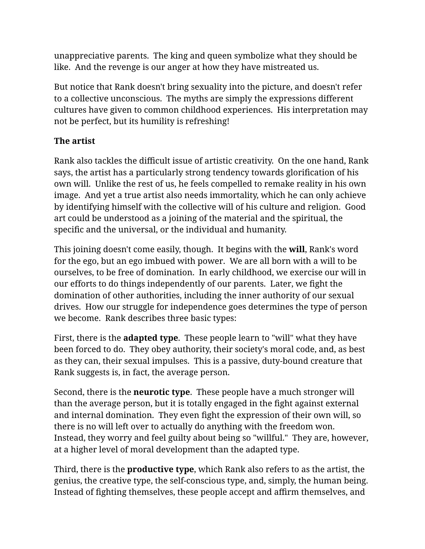unappreciative parents. The king and queen symbolize what they should be like. And the revenge is our anger at how they have mistreated us.

But notice that Rank doesn't bring sexuality into the picture, and doesn't refer to a collective unconscious. The myths are simply the expressions different cultures have given to common childhood experiences. His interpretation may not be perfect, but its humility is refreshing!

### **The artist**

Rank also tackles the difficult issue of artistic creativity. On the one hand, Rank says, the artist has a particularly strong tendency towards glorification of his own will. Unlike the rest of us, he feels compelled to remake reality in his own image. And yet a true artist also needs immortality, which he can only achieve by identifying himself with the collective will of his culture and religion. Good art could be understood as a joining of the material and the spiritual, the specific and the universal, or the individual and humanity.

This joining doesn't come easily, though. It begins with the **will**, Rank's word for the ego, but an ego imbued with power. We are all born with a will to be ourselves, to be free of domination. In early childhood, we exercise our will in our efforts to do things independently of our parents. Later, we fight the domination of other authorities, including the inner authority of our sexual drives. How our struggle for independence goes determines the type of person we become. Rank describes three basic types:

First, there is the **adapted type**. These people learn to "will" what they have been forced to do. They obey authority, their society's moral code, and, as best as they can, their sexual impulses. This is a passive, duty-bound creature that Rank suggests is, in fact, the average person.

Second, there is the **neurotic type**. These people have a much stronger will than the average person, but it is totally engaged in the fight against external and internal domination. They even fight the expression of their own will, so there is no will left over to actually do anything with the freedom won. Instead, they worry and feel guilty about being so "willful." They are, however, at a higher level of moral development than the adapted type.

Third, there is the **productive type**, which Rank also refers to as the artist, the genius, the creative type, the self-conscious type, and, simply, the human being. Instead of fighting themselves, these people accept and affirm themselves, and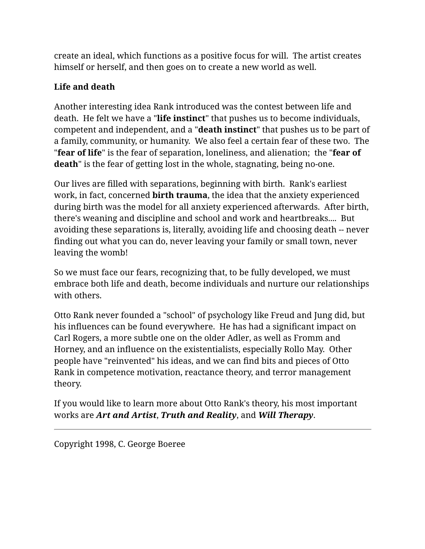create an ideal, which functions as a positive focus for will. The artist creates himself or herself, and then goes on to create a new world as well.

### **Life and death**

Another interesting idea Rank introduced was the contest between life and death. He felt we have a "**life instinct**" that pushes us to become individuals, competent and independent, and a "**death instinct**" that pushes us to be part of a family, community, or humanity. We also feel a certain fear of these two. The "**fear of life**" is the fear of separation, loneliness, and alienation; the "**fear of death**" is the fear of getting lost in the whole, stagnating, being no-one.

Our lives are filled with separations, beginning with birth. Rank's earliest work, in fact, concerned **birth trauma**, the idea that the anxiety experienced during birth was the model for all anxiety experienced afterwards. After birth, there's weaning and discipline and school and work and heartbreaks.... But avoiding these separations is, literally, avoiding life and choosing death -- never finding out what you can do, never leaving your family or small town, never leaving the womb!

So we must face our fears, recognizing that, to be fully developed, we must embrace both life and death, become individuals and nurture our relationships with others.

Otto Rank never founded a "school" of psychology like Freud and Jung did, but his influences can be found everywhere. He has had a significant impact on Carl Rogers, a more subtle one on the older Adler, as well as Fromm and Horney, and an influence on the existentialists, especially Rollo May. Other people have "reinvented" his ideas, and we can find bits and pieces of Otto Rank in competence motivation, reactance theory, and terror management theory.

If you would like to learn more about Otto Rank's theory, his most important works are *Art and Artist*, *Truth and Reality*, and *Will Therapy*.